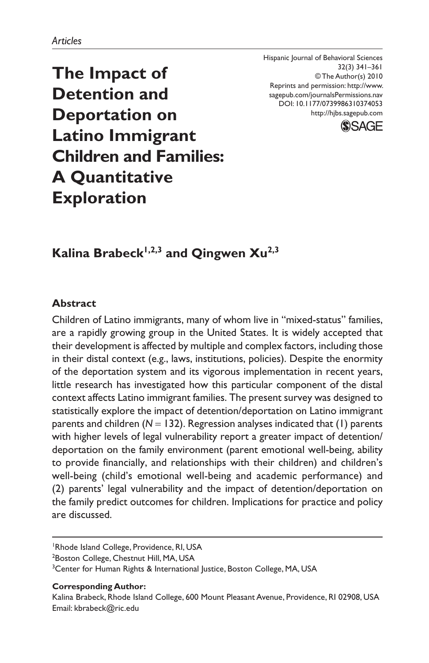Hispanic Journal of Behavioral Sciences 32(3) 341–361 © The Author(s) 2010 Reprints and permission: http://www. sagepub.com/journalsPermissions.nav DOI: 10.1177/0739986310374053 http://hjbs.sagepub.com



**The Impact of Detention and Deportation on Latino Immigrant Children and Families: A Quantitative Exploration**

## Kalina Brabeck<sup>1,2,3</sup> and Qingwen Xu<sup>2,3</sup>

### **Abstract**

Children of Latino immigrants, many of whom live in "mixed-status" families, are a rapidly growing group in the United States. It is widely accepted that their development is affected by multiple and complex factors, including those in their distal context (e.g., laws, institutions, policies). Despite the enormity of the deportation system and its vigorous implementation in recent years, little research has investigated how this particular component of the distal context affects Latino immigrant families. The present survey was designed to statistically explore the impact of detention/deportation on Latino immigrant parents and children  $(N = 132)$ . Regression analyses indicated that  $(1)$  parents with higher levels of legal vulnerability report a greater impact of detention/ deportation on the family environment (parent emotional well-being, ability to provide financially, and relationships with their children) and children's well-being (child's emotional well-being and academic performance) and (2) parents' legal vulnerability and the impact of detention/deportation on the family predict outcomes for children. Implications for practice and policy are discussed.

#### **Corresponding Author:**

<sup>&</sup>lt;sup>1</sup> Rhode Island College, Providence, RI, USA

<sup>&</sup>lt;sup>2</sup>Boston College, Chestnut Hill, MA, USA

<sup>&</sup>lt;sup>3</sup>Center for Human Rights & International Justice, Boston College, MA, USA

Kalina Brabeck, Rhode Island College, 600 Mount Pleasant Avenue, Providence, RI 02908, USA Email: kbrabeck@ric.edu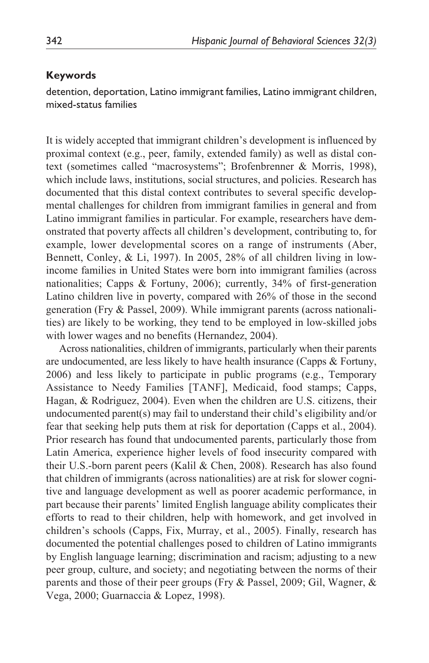#### **Keywords**

detention, deportation, Latino immigrant families, Latino immigrant children, mixed-status families

It is widely accepted that immigrant children's development is influenced by proximal context (e.g., peer, family, extended family) as well as distal context (sometimes called "macrosystems"; Brofenbrenner & Morris, 1998), which include laws, institutions, social structures, and policies. Research has documented that this distal context contributes to several specific developmental challenges for children from immigrant families in general and from Latino immigrant families in particular. For example, researchers have demonstrated that poverty affects all children's development, contributing to, for example, lower developmental scores on a range of instruments (Aber, Bennett, Conley, & Li, 1997). In 2005, 28% of all children living in lowincome families in United States were born into immigrant families (across nationalities; Capps & Fortuny, 2006); currently, 34% of first-generation Latino children live in poverty, compared with 26% of those in the second generation (Fry & Passel, 2009). While immigrant parents (across nationalities) are likely to be working, they tend to be employed in low-skilled jobs with lower wages and no benefits (Hernandez, 2004).

Across nationalities, children of immigrants, particularly when their parents are undocumented, are less likely to have health insurance (Capps & Fortuny, 2006) and less likely to participate in public programs (e.g., Temporary Assistance to Needy Families [TANF], Medicaid, food stamps; Capps, Hagan, & Rodriguez, 2004). Even when the children are U.S. citizens, their undocumented parent(s) may fail to understand their child's eligibility and/or fear that seeking help puts them at risk for deportation (Capps et al., 2004). Prior research has found that undocumented parents, particularly those from Latin America, experience higher levels of food insecurity compared with their U.S.-born parent peers (Kalil & Chen, 2008). Research has also found that children of immigrants (across nationalities) are at risk for slower cognitive and language development as well as poorer academic performance, in part because their parents' limited English language ability complicates their efforts to read to their children, help with homework, and get involved in children's schools (Capps, Fix, Murray, et al., 2005). Finally, research has documented the potential challenges posed to children of Latino immigrants by English language learning; discrimination and racism; adjusting to a new peer group, culture, and society; and negotiating between the norms of their parents and those of their peer groups (Fry & Passel, 2009; Gil, Wagner, & Vega, 2000; Guarnaccia & Lopez, 1998).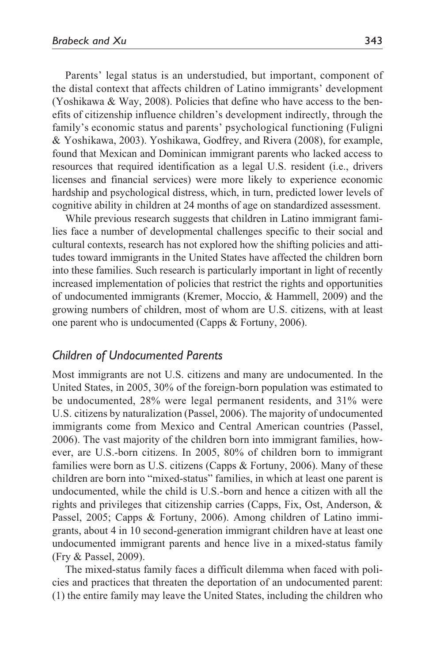Parents' legal status is an understudied, but important, component of the distal context that affects children of Latino immigrants' development (Yoshikawa & Way, 2008). Policies that define who have access to the benefits of citizenship influence children's development indirectly, through the family's economic status and parents' psychological functioning (Fuligni & Yoshikawa, 2003). Yoshikawa, Godfrey, and Rivera (2008), for example, found that Mexican and Dominican immigrant parents who lacked access to resources that required identification as a legal U.S. resident (i.e., drivers licenses and financial services) were more likely to experience economic hardship and psychological distress, which, in turn, predicted lower levels of cognitive ability in children at 24 months of age on standardized assessment.

While previous research suggests that children in Latino immigrant families face a number of developmental challenges specific to their social and cultural contexts, research has not explored how the shifting policies and attitudes toward immigrants in the United States have affected the children born into these families. Such research is particularly important in light of recently increased implementation of policies that restrict the rights and opportunities of undocumented immigrants (Kremer, Moccio, & Hammell, 2009) and the growing numbers of children, most of whom are U.S. citizens, with at least one parent who is undocumented (Capps & Fortuny, 2006).

### *Children of Undocumented Parents*

Most immigrants are not U.S. citizens and many are undocumented. In the United States, in 2005, 30% of the foreign-born population was estimated to be undocumented, 28% were legal permanent residents, and 31% were U.S. citizens by naturalization (Passel, 2006). The majority of undocumented immigrants come from Mexico and Central American countries (Passel, 2006). The vast majority of the children born into immigrant families, however, are U.S.-born citizens. In 2005, 80% of children born to immigrant families were born as U.S. citizens (Capps & Fortuny, 2006). Many of these children are born into "mixed-status" families, in which at least one parent is undocumented, while the child is U.S.-born and hence a citizen with all the rights and privileges that citizenship carries (Capps, Fix, Ost, Anderson, & Passel, 2005; Capps & Fortuny, 2006). Among children of Latino immigrants, about 4 in 10 second-generation immigrant children have at least one undocumented immigrant parents and hence live in a mixed-status family (Fry & Passel, 2009).

The mixed-status family faces a difficult dilemma when faced with policies and practices that threaten the deportation of an undocumented parent: (1) the entire family may leave the United States, including the children who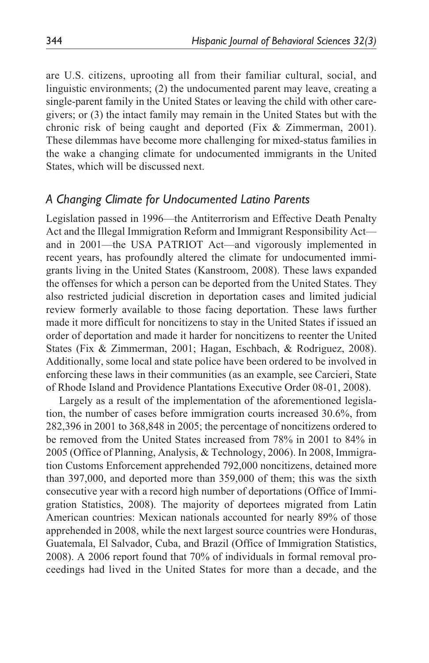are U.S. citizens, uprooting all from their familiar cultural, social, and linguistic environments; (2) the undocumented parent may leave, creating a single-parent family in the United States or leaving the child with other caregivers; or (3) the intact family may remain in the United States but with the chronic risk of being caught and deported (Fix & Zimmerman, 2001). These dilemmas have become more challenging for mixed-status families in the wake a changing climate for undocumented immigrants in the United States, which will be discussed next.

### *A Changing Climate for Undocumented Latino Parents*

Legislation passed in 1996—the Antiterrorism and Effective Death Penalty Act and the Illegal Immigration Reform and Immigrant Responsibility Act and in 2001—the USA PATRIOT Act—and vigorously implemented in recent years, has profoundly altered the climate for undocumented immigrants living in the United States (Kanstroom, 2008). These laws expanded the offenses for which a person can be deported from the United States. They also restricted judicial discretion in deportation cases and limited judicial review formerly available to those facing deportation. These laws further made it more difficult for noncitizens to stay in the United States if issued an order of deportation and made it harder for noncitizens to reenter the United States (Fix & Zimmerman, 2001; Hagan, Eschbach, & Rodriguez, 2008). Additionally, some local and state police have been ordered to be involved in enforcing these laws in their communities (as an example, see Carcieri, State of Rhode Island and Providence Plantations Executive Order 08-01, 2008).

Largely as a result of the implementation of the aforementioned legislation, the number of cases before immigration courts increased 30.6%, from 282,396 in 2001 to 368,848 in 2005; the percentage of noncitizens ordered to be removed from the United States increased from 78% in 2001 to 84% in 2005 (Office of Planning, Analysis, & Technology, 2006). In 2008, Immigration Customs Enforcement apprehended 792,000 noncitizens, detained more than 397,000, and deported more than 359,000 of them; this was the sixth consecutive year with a record high number of deportations (Office of Immigration Statistics, 2008). The majority of deportees migrated from Latin American countries: Mexican nationals accounted for nearly 89% of those apprehended in 2008, while the next largest source countries were Honduras, Guatemala, El Salvador, Cuba, and Brazil (Office of Immigration Statistics, 2008). A 2006 report found that 70% of individuals in formal removal proceedings had lived in the United States for more than a decade, and the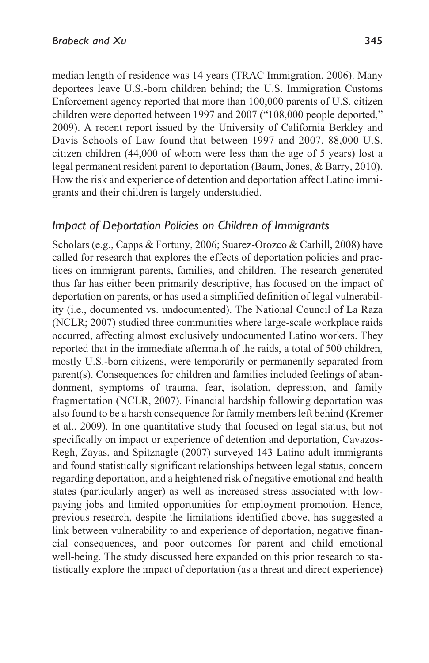median length of residence was 14 years (TRAC Immigration, 2006). Many deportees leave U.S.-born children behind; the U.S. Immigration Customs Enforcement agency reported that more than 100,000 parents of U.S. citizen children were deported between 1997 and 2007 ("108,000 people deported," 2009). A recent report issued by the University of California Berkley and Davis Schools of Law found that between 1997 and 2007, 88,000 U.S. citizen children (44,000 of whom were less than the age of 5 years) lost a legal permanent resident parent to deportation (Baum, Jones, & Barry, 2010). How the risk and experience of detention and deportation affect Latino immigrants and their children is largely understudied.

## *Impact of Deportation Policies on Children of Immigrants*

Scholars (e.g., Capps & Fortuny, 2006; Suarez-Orozco & Carhill, 2008) have called for research that explores the effects of deportation policies and practices on immigrant parents, families, and children. The research generated thus far has either been primarily descriptive, has focused on the impact of deportation on parents, or has used a simplified definition of legal vulnerability (i.e., documented vs. undocumented). The National Council of La Raza (NCLR; 2007) studied three communities where large-scale workplace raids occurred, affecting almost exclusively undocumented Latino workers. They reported that in the immediate aftermath of the raids, a total of 500 children, mostly U.S.-born citizens, were temporarily or permanently separated from parent(s). Consequences for children and families included feelings of abandonment, symptoms of trauma, fear, isolation, depression, and family fragmentation (NCLR, 2007). Financial hardship following deportation was also found to be a harsh consequence for family members left behind (Kremer et al., 2009). In one quantitative study that focused on legal status, but not specifically on impact or experience of detention and deportation, Cavazos-Regh, Zayas, and Spitznagle (2007) surveyed 143 Latino adult immigrants and found statistically significant relationships between legal status, concern regarding deportation, and a heightened risk of negative emotional and health states (particularly anger) as well as increased stress associated with lowpaying jobs and limited opportunities for employment promotion. Hence, previous research, despite the limitations identified above, has suggested a link between vulnerability to and experience of deportation, negative financial consequences, and poor outcomes for parent and child emotional well-being. The study discussed here expanded on this prior research to statistically explore the impact of deportation (as a threat and direct experience)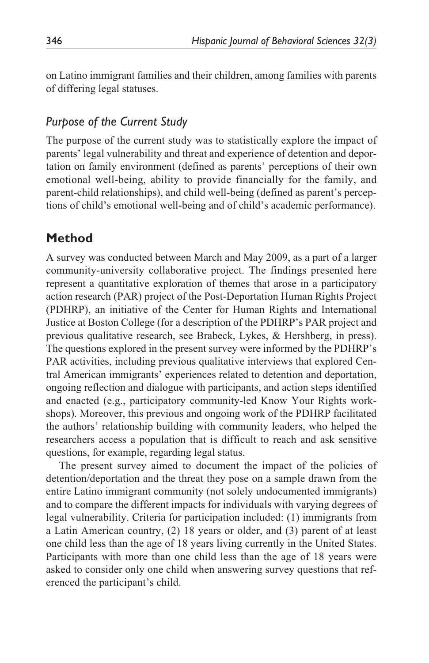on Latino immigrant families and their children, among families with parents of differing legal statuses.

## *Purpose of the Current Study*

The purpose of the current study was to statistically explore the impact of parents' legal vulnerability and threat and experience of detention and deportation on family environment (defined as parents' perceptions of their own emotional well-being, ability to provide financially for the family, and parent-child relationships), and child well-being (defined as parent's perceptions of child's emotional well-being and of child's academic performance).

## **Method**

A survey was conducted between March and May 2009, as a part of a larger community-university collaborative project. The findings presented here represent a quantitative exploration of themes that arose in a participatory action research (PAR) project of the Post-Deportation Human Rights Project (PDHRP), an initiative of the Center for Human Rights and International Justice at Boston College (for a description of the PDHRP's PAR project and previous qualitative research, see Brabeck, Lykes, & Hershberg, in press). The questions explored in the present survey were informed by the PDHRP's PAR activities, including previous qualitative interviews that explored Central American immigrants' experiences related to detention and deportation, ongoing reflection and dialogue with participants, and action steps identified and enacted (e.g., participatory community-led Know Your Rights workshops). Moreover, this previous and ongoing work of the PDHRP facilitated the authors' relationship building with community leaders, who helped the researchers access a population that is difficult to reach and ask sensitive questions, for example, regarding legal status.

The present survey aimed to document the impact of the policies of detention/deportation and the threat they pose on a sample drawn from the entire Latino immigrant community (not solely undocumented immigrants) and to compare the different impacts for individuals with varying degrees of legal vulnerability. Criteria for participation included: (1) immigrants from a Latin American country, (2) 18 years or older, and (3) parent of at least one child less than the age of 18 years living currently in the United States. Participants with more than one child less than the age of 18 years were asked to consider only one child when answering survey questions that referenced the participant's child.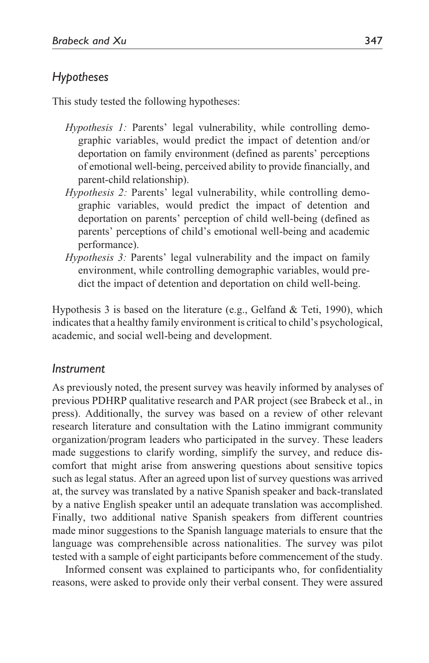## *Hypotheses*

This study tested the following hypotheses:

- *Hypothesis 1:* Parents' legal vulnerability, while controlling demographic variables, would predict the impact of detention and/or deportation on family environment (defined as parents' perceptions of emotional well-being, perceived ability to provide financially, and parent-child relationship).
- *Hypothesis 2:* Parents' legal vulnerability, while controlling demographic variables, would predict the impact of detention and deportation on parents' perception of child well-being (defined as parents' perceptions of child's emotional well-being and academic performance).
- *Hypothesis 3:* Parents' legal vulnerability and the impact on family environment, while controlling demographic variables, would predict the impact of detention and deportation on child well-being.

Hypothesis 3 is based on the literature (e.g., Gelfand & Teti, 1990), which indicates that a healthy family environment is critical to child's psychological, academic, and social well-being and development.

### *Instrument*

As previously noted, the present survey was heavily informed by analyses of previous PDHRP qualitative research and PAR project (see Brabeck et al., in press). Additionally, the survey was based on a review of other relevant research literature and consultation with the Latino immigrant community organization/program leaders who participated in the survey. These leaders made suggestions to clarify wording, simplify the survey, and reduce discomfort that might arise from answering questions about sensitive topics such as legal status. After an agreed upon list of survey questions was arrived at, the survey was translated by a native Spanish speaker and back-translated by a native English speaker until an adequate translation was accomplished. Finally, two additional native Spanish speakers from different countries made minor suggestions to the Spanish language materials to ensure that the language was comprehensible across nationalities. The survey was pilot tested with a sample of eight participants before commencement of the study.

Informed consent was explained to participants who, for confidentiality reasons, were asked to provide only their verbal consent. They were assured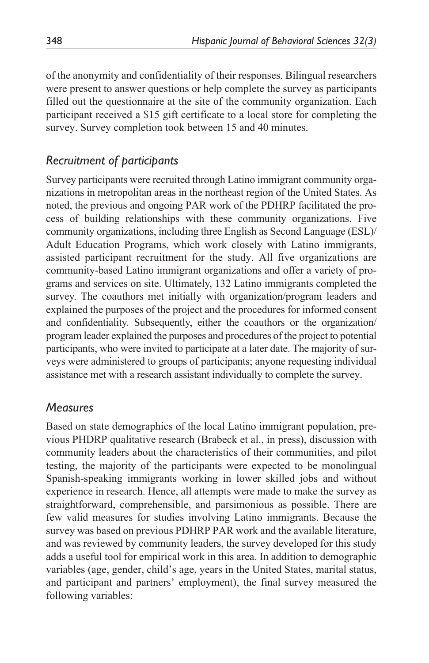of the anonymity and confidentiality of their responses. Bilingual researchers were present to answer questions or help complete the survey as participants filled out the questionnaire at the site of the community organization. Each participant received a \$15 gift certificate to a local store for completing the survey. Survey completion took between 15 and 40 minutes.

## *Recruitment of participants*

Survey participants were recruited through Latino immigrant community organizations in metropolitan areas in the northeast region of the United States. As noted, the previous and ongoing PAR work of the PDHRP facilitated the process of building relationships with these community organizations. Five community organizations, including three English as Second Language (ESL)/ Adult Education Programs, which work closely with Latino immigrants, assisted participant recruitment for the study. All five organizations are community-based Latino immigrant organizations and offer a variety of programs and services on site. Ultimately, 132 Latino immigrants completed the survey. The coauthors met initially with organization/program leaders and explained the purposes of the project and the procedures for informed consent and confidentiality. Subsequently, either the coauthors or the organization/ program leader explained the purposes and procedures of the project to potential participants, who were invited to participate at a later date. The majority of surveys were administered to groups of participants; anyone requesting individual assistance met with a research assistant individually to complete the survey.

### *Measures*

Based on state demographics of the local Latino immigrant population, previous PHDRP qualitative research (Brabeck et al., in press), discussion with community leaders about the characteristics of their communities, and pilot testing, the majority of the participants were expected to be monolingual Spanish-speaking immigrants working in lower skilled jobs and without experience in research. Hence, all attempts were made to make the survey as straightforward, comprehensible, and parsimonious as possible. There are few valid measures for studies involving Latino immigrants. Because the survey was based on previous PDHRP PAR work and the available literature, and was reviewed by community leaders, the survey developed for this study adds a useful tool for empirical work in this area. In addition to demographic variables (age, gender, child's age, years in the United States, marital status, and participant and partners' employment), the final survey measured the following variables: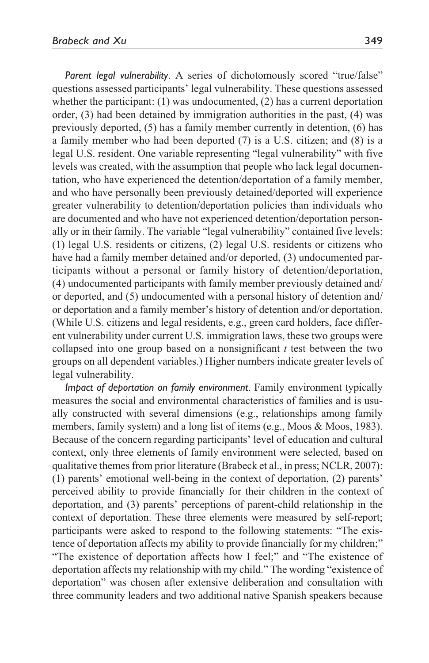*Parent legal vulnerability*. A series of dichotomously scored "true/false" questions assessed participants' legal vulnerability. These questions assessed whether the participant: (1) was undocumented, (2) has a current deportation order, (3) had been detained by immigration authorities in the past, (4) was previously deported, (5) has a family member currently in detention, (6) has a family member who had been deported (7) is a U.S. citizen; and (8) is a legal U.S. resident. One variable representing "legal vulnerability" with five levels was created, with the assumption that people who lack legal documentation, who have experienced the detention/deportation of a family member, and who have personally been previously detained/deported will experience greater vulnerability to detention/deportation policies than individuals who are documented and who have not experienced detention/deportation personally or in their family. The variable "legal vulnerability" contained five levels: (1) legal U.S. residents or citizens, (2) legal U.S. residents or citizens who have had a family member detained and/or deported, (3) undocumented participants without a personal or family history of detention/deportation, (4) undocumented participants with family member previously detained and/ or deported, and (5) undocumented with a personal history of detention and/ or deportation and a family member's history of detention and/or deportation. (While U.S. citizens and legal residents, e.g., green card holders, face different vulnerability under current U.S. immigration laws, these two groups were collapsed into one group based on a nonsignificant *t* test between the two groups on all dependent variables.) Higher numbers indicate greater levels of legal vulnerability.

*Impact of deportation on family environment*. Family environment typically measures the social and environmental characteristics of families and is usually constructed with several dimensions (e.g., relationships among family members, family system) and a long list of items (e.g., Moos & Moos, 1983). Because of the concern regarding participants' level of education and cultural context, only three elements of family environment were selected, based on qualitative themes from prior literature (Brabeck et al., in press; NCLR, 2007): (1) parents' emotional well-being in the context of deportation, (2) parents' perceived ability to provide financially for their children in the context of deportation, and (3) parents' perceptions of parent-child relationship in the context of deportation. These three elements were measured by self-report; participants were asked to respond to the following statements: "The existence of deportation affects my ability to provide financially for my children;" "The existence of deportation affects how I feel;" and "The existence of deportation affects my relationship with my child." The wording "existence of deportation" was chosen after extensive deliberation and consultation with three community leaders and two additional native Spanish speakers because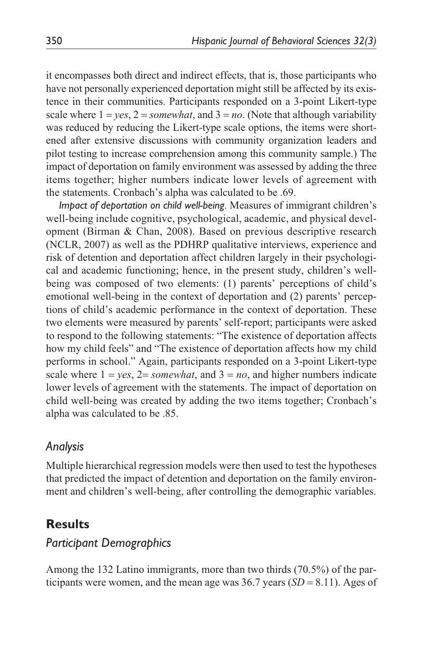it encompasses both direct and indirect effects, that is, those participants who have not personally experienced deportation might still be affected by its existence in their communities. Participants responded on a 3-point Likert-type scale where  $1 = ves$ ,  $2 = somewhat$ , and  $3 = no$ . (Note that although variability was reduced by reducing the Likert-type scale options, the items were shortened after extensive discussions with community organization leaders and pilot testing to increase comprehension among this community sample.) The impact of deportation on family environment was assessed by adding the three items together; higher numbers indicate lower levels of agreement with the statements. Cronbach's alpha was calculated to be .69.

*Impact of deportation on child well-being*. Measures of immigrant children's well-being include cognitive, psychological, academic, and physical development (Birman & Chan, 2008). Based on previous descriptive research (NCLR, 2007) as well as the PDHRP qualitative interviews, experience and risk of detention and deportation affect children largely in their psychological and academic functioning; hence, in the present study, children's wellbeing was composed of two elements: (1) parents' perceptions of child's emotional well-being in the context of deportation and (2) parents' perceptions of child's academic performance in the context of deportation. These two elements were measured by parents' self-report; participants were asked to respond to the following statements: "The existence of deportation affects how my child feels" and "The existence of deportation affects how my child performs in school." Again, participants responded on a 3-point Likert-type scale where  $1 = ves$ ,  $2 = somewhat$ , and  $3 = no$ , and higher numbers indicate lower levels of agreement with the statements. The impact of deportation on child well-being was created by adding the two items together; Cronbach's alpha was calculated to be .85.

## *Analysis*

Multiple hierarchical regression models were then used to test the hypotheses that predicted the impact of detention and deportation on the family environment and children's well-being, after controlling the demographic variables.

## **Results**

## *Participant Demographics*

Among the 132 Latino immigrants, more than two thirds (70.5%) of the participants were women, and the mean age was  $36.7$  years  $(SD = 8.11)$ . Ages of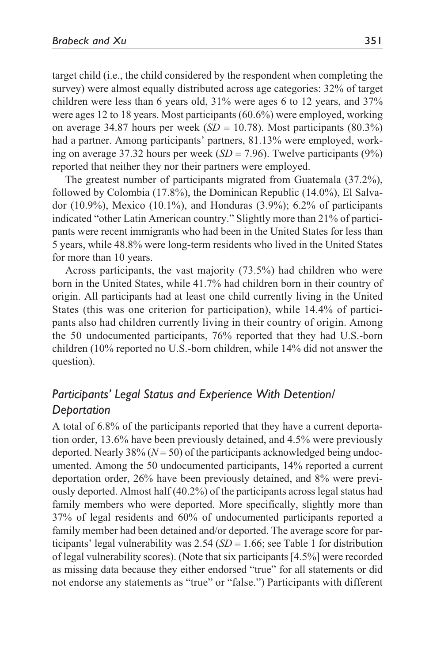target child (i.e., the child considered by the respondent when completing the survey) were almost equally distributed across age categories: 32% of target children were less than 6 years old, 31% were ages 6 to 12 years, and 37% were ages 12 to 18 years. Most participants (60.6%) were employed, working on average 34.87 hours per week  $(SD = 10.78)$ . Most participants  $(80.3\%)$ had a partner. Among participants' partners, 81.13% were employed, working on average 37.32 hours per week  $(SD = 7.96)$ . Twelve participants  $(9\%)$ reported that neither they nor their partners were employed.

The greatest number of participants migrated from Guatemala (37.2%), followed by Colombia (17.8%), the Dominican Republic (14.0%), El Salvador (10.9%), Mexico (10.1%), and Honduras (3.9%); 6.2% of participants indicated "other Latin American country." Slightly more than 21% of participants were recent immigrants who had been in the United States for less than 5 years, while 48.8% were long-term residents who lived in the United States for more than 10 years.

Across participants, the vast majority (73.5%) had children who were born in the United States, while 41.7% had children born in their country of origin. All participants had at least one child currently living in the United States (this was one criterion for participation), while 14.4% of participants also had children currently living in their country of origin. Among the 50 undocumented participants, 76% reported that they had U.S.-born children (10% reported no U.S.-born children, while 14% did not answer the question).

## *Participants' Legal Status and Experience With Detention/ Deportation*

A total of 6.8% of the participants reported that they have a current deportation order, 13.6% have been previously detained, and 4.5% were previously deported. Nearly 38% (*N* = 50) of the participants acknowledged being undocumented. Among the 50 undocumented participants, 14% reported a current deportation order, 26% have been previously detained, and 8% were previously deported. Almost half (40.2%) of the participants across legal status had family members who were deported. More specifically, slightly more than 37% of legal residents and 60% of undocumented participants reported a family member had been detained and/or deported. The average score for participants' legal vulnerability was  $2.54$  (*SD* = 1.66; see Table 1 for distribution of legal vulnerability scores). (Note that six participants [4.5%] were recorded as missing data because they either endorsed "true" for all statements or did not endorse any statements as "true" or "false.") Participants with different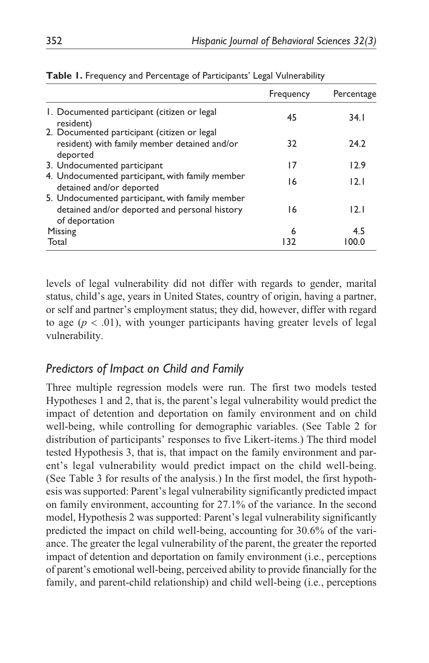|                                                                                                                    | Frequency | Percentage |
|--------------------------------------------------------------------------------------------------------------------|-----------|------------|
| 1. Documented participant (citizen or legal<br>resident)                                                           | 45        | 34.1       |
| 2. Documented participant (citizen or legal<br>resident) with family member detained and/or<br>deported            | 32        | 24.2       |
| 3. Undocumented participant                                                                                        | 17        | 12.9       |
| 4. Undocumented participant, with family member<br>detained and/or deported                                        | 16        | 12.1       |
| 5. Undocumented participant, with family member<br>detained and/or deported and personal history<br>of deportation | 16        | 12.1       |
| Missing                                                                                                            | 6         | 4.5        |
| Total                                                                                                              | 132       | 100.0      |

|  |  | Table I. Frequency and Percentage of Participants' Legal Vulnerability |
|--|--|------------------------------------------------------------------------|
|  |  |                                                                        |

levels of legal vulnerability did not differ with regards to gender, marital status, child's age, years in United States, country of origin, having a partner, or self and partner's employment status; they did, however, differ with regard to age  $(p < .01)$ , with younger participants having greater levels of legal vulnerability.

## *Predictors of Impact on Child and Family*

Three multiple regression models were run. The first two models tested Hypotheses 1 and 2, that is, the parent's legal vulnerability would predict the impact of detention and deportation on family environment and on child well-being, while controlling for demographic variables. (See Table 2 for distribution of participants' responses to five Likert-items.) The third model tested Hypothesis 3, that is, that impact on the family environment and parent's legal vulnerability would predict impact on the child well-being. (See Table 3 for results of the analysis.) In the first model, the first hypothesis was supported: Parent's legal vulnerability significantly predicted impact on family environment, accounting for 27.1% of the variance. In the second model, Hypothesis 2 was supported: Parent's legal vulnerability significantly predicted the impact on child well-being, accounting for 30.6% of the variance. The greater the legal vulnerability of the parent, the greater the reported impact of detention and deportation on family environment (i.e., perceptions of parent's emotional well-being, perceived ability to provide financially for the family, and parent-child relationship) and child well-being (i.e., perceptions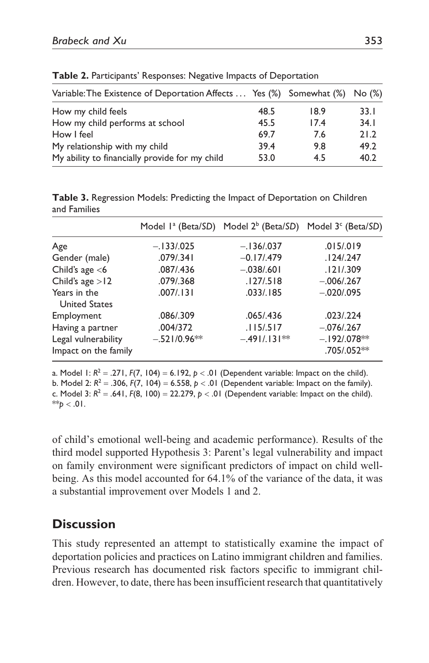| Variable: The Existence of Deportation Affects  Yes (%) Somewhat (%) No (%) |      |      |      |
|-----------------------------------------------------------------------------|------|------|------|
| How my child feels                                                          | 48.5 | 18.9 | 33.1 |
| How my child performs at school                                             | 45.5 | 17.4 | 34.1 |
| How I feel                                                                  | 69.7 | 7.6  | 21.2 |
| My relationship with my child                                               | 39.4 | 9.8  | 49.2 |
| My ability to financially provide for my child                              | 53.0 | 4.5  | 40.2 |

**Table 2.** Participants' Responses: Negative Impacts of Deportation

**Table 3.** Regression Models: Predicting the Impact of Deportation on Children and Families

|                                             | Model 1 <sup>ª</sup> (Beta/SD) | Model 2 <sup>b</sup> (Beta/SD) Model 3 <sup>c</sup> (Beta/SD) |                              |
|---------------------------------------------|--------------------------------|---------------------------------------------------------------|------------------------------|
| Age                                         | $-.133/025$                    | $-.136/037$                                                   | .015/019                     |
| Gender (male)                               | .079/.341                      | $-0.17/0.479$                                                 | .124/0.247                   |
| Child's age $<$ 6                           | .087/.436                      | $-.038/.601$                                                  | .121/.309                    |
| Child's age $>12$                           | .079/.368                      | .127/0.518                                                    | $-.006/.267$                 |
| Years in the<br><b>United States</b>        | .007/0.131                     | .033/.185                                                     | $-.020/.095$                 |
| Employment                                  | .086/.309                      | .065/.436                                                     | .023/0.224                   |
| Having a partner                            | .004/372                       | .115/0.517                                                    | $-.076/.267$                 |
| Legal vulnerability<br>Impact on the family | $-.521/0.96**$                 | $-.491/.131**$                                                | $-.192/078**$<br>.705/.052** |

a. Model 1:  $R^2 = .271$ ,  $F(7, 104) = 6.192$ ,  $p < .01$  (Dependent variable: Impact on the child). b. Model 2:  $R^2 = 0.306$ ,  $F(7, 104) = 6.558$ ,  $p < 01$  (Dependent variable: Impact on the family). c. Model 3:  $R^2 = .641$ ,  $F(8, 100) = 22.279$ ,  $p < .01$  (Dependent variable: Impact on the child).  $*$ *p* < .01.

of child's emotional well-being and academic performance). Results of the third model supported Hypothesis 3: Parent's legal vulnerability and impact on family environment were significant predictors of impact on child wellbeing. As this model accounted for 64.1% of the variance of the data, it was a substantial improvement over Models 1 and 2.

# **Discussion**

This study represented an attempt to statistically examine the impact of deportation policies and practices on Latino immigrant children and families. Previous research has documented risk factors specific to immigrant children. However, to date, there has been insufficient research that quantitatively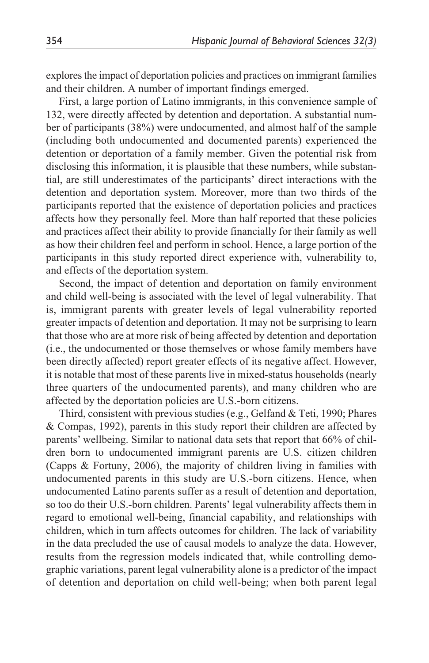explores the impact of deportation policies and practices on immigrant families and their children. A number of important findings emerged.

First, a large portion of Latino immigrants, in this convenience sample of 132, were directly affected by detention and deportation. A substantial number of participants (38%) were undocumented, and almost half of the sample (including both undocumented and documented parents) experienced the detention or deportation of a family member. Given the potential risk from disclosing this information, it is plausible that these numbers, while substantial, are still underestimates of the participants' direct interactions with the detention and deportation system. Moreover, more than two thirds of the participants reported that the existence of deportation policies and practices affects how they personally feel. More than half reported that these policies and practices affect their ability to provide financially for their family as well as how their children feel and perform in school. Hence, a large portion of the participants in this study reported direct experience with, vulnerability to, and effects of the deportation system.

Second, the impact of detention and deportation on family environment and child well-being is associated with the level of legal vulnerability. That is, immigrant parents with greater levels of legal vulnerability reported greater impacts of detention and deportation. It may not be surprising to learn that those who are at more risk of being affected by detention and deportation (i.e., the undocumented or those themselves or whose family members have been directly affected) report greater effects of its negative affect. However, it is notable that most of these parents live in mixed-status households (nearly three quarters of the undocumented parents), and many children who are affected by the deportation policies are U.S.-born citizens.

Third, consistent with previous studies (e.g., Gelfand & Teti, 1990; Phares & Compas, 1992), parents in this study report their children are affected by parents' wellbeing. Similar to national data sets that report that 66% of children born to undocumented immigrant parents are U.S. citizen children (Capps & Fortuny, 2006), the majority of children living in families with undocumented parents in this study are U.S.-born citizens. Hence, when undocumented Latino parents suffer as a result of detention and deportation, so too do their U.S.-born children. Parents' legal vulnerability affects them in regard to emotional well-being, financial capability, and relationships with children, which in turn affects outcomes for children. The lack of variability in the data precluded the use of causal models to analyze the data. However, results from the regression models indicated that, while controlling demographic variations, parent legal vulnerability alone is a predictor of the impact of detention and deportation on child well-being; when both parent legal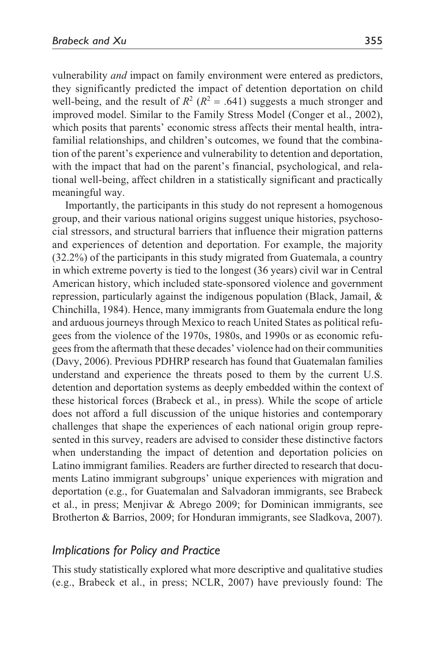vulnerability *and* impact on family environment were entered as predictors, they significantly predicted the impact of detention deportation on child well-being, and the result of  $R^2$  ( $R^2$  = .641) suggests a much stronger and improved model. Similar to the Family Stress Model (Conger et al., 2002), which posits that parents' economic stress affects their mental health, intrafamilial relationships, and children's outcomes, we found that the combination of the parent's experience and vulnerability to detention and deportation, with the impact that had on the parent's financial, psychological, and relational well-being, affect children in a statistically significant and practically meaningful way.

Importantly, the participants in this study do not represent a homogenous group, and their various national origins suggest unique histories, psychosocial stressors, and structural barriers that influence their migration patterns and experiences of detention and deportation. For example, the majority (32.2%) of the participants in this study migrated from Guatemala, a country in which extreme poverty is tied to the longest (36 years) civil war in Central American history, which included state-sponsored violence and government repression, particularly against the indigenous population (Black, Jamail, & Chinchilla, 1984). Hence, many immigrants from Guatemala endure the long and arduous journeys through Mexico to reach United States as political refugees from the violence of the 1970s, 1980s, and 1990s or as economic refugees from the aftermath that these decades' violence had on their communities (Davy, 2006). Previous PDHRP research has found that Guatemalan families understand and experience the threats posed to them by the current U.S. detention and deportation systems as deeply embedded within the context of these historical forces (Brabeck et al., in press). While the scope of article does not afford a full discussion of the unique histories and contemporary challenges that shape the experiences of each national origin group represented in this survey, readers are advised to consider these distinctive factors when understanding the impact of detention and deportation policies on Latino immigrant families. Readers are further directed to research that documents Latino immigrant subgroups' unique experiences with migration and deportation (e.g., for Guatemalan and Salvadoran immigrants, see Brabeck et al., in press; Menjivar & Abrego 2009; for Dominican immigrants, see Brotherton & Barrios, 2009; for Honduran immigrants, see Sladkova, 2007).

#### *Implications for Policy and Practice*

This study statistically explored what more descriptive and qualitative studies (e.g., Brabeck et al., in press; NCLR, 2007) have previously found: The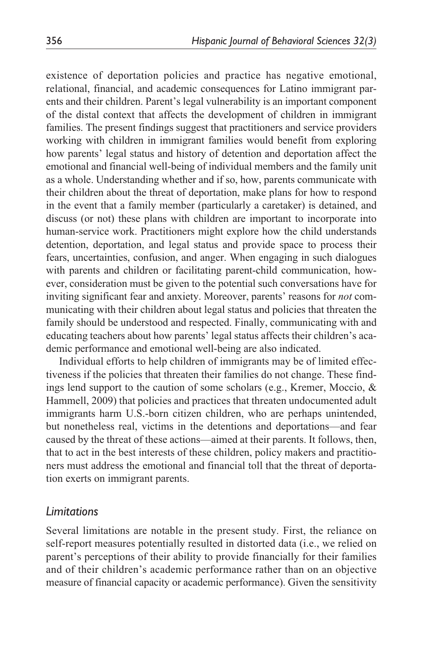existence of deportation policies and practice has negative emotional, relational, financial, and academic consequences for Latino immigrant parents and their children. Parent's legal vulnerability is an important component of the distal context that affects the development of children in immigrant families. The present findings suggest that practitioners and service providers working with children in immigrant families would benefit from exploring how parents' legal status and history of detention and deportation affect the emotional and financial well-being of individual members and the family unit as a whole. Understanding whether and if so, how, parents communicate with their children about the threat of deportation, make plans for how to respond in the event that a family member (particularly a caretaker) is detained, and discuss (or not) these plans with children are important to incorporate into human-service work. Practitioners might explore how the child understands detention, deportation, and legal status and provide space to process their fears, uncertainties, confusion, and anger. When engaging in such dialogues with parents and children or facilitating parent-child communication, however, consideration must be given to the potential such conversations have for inviting significant fear and anxiety. Moreover, parents' reasons for *not* communicating with their children about legal status and policies that threaten the family should be understood and respected. Finally, communicating with and educating teachers about how parents' legal status affects their children's academic performance and emotional well-being are also indicated.

Individual efforts to help children of immigrants may be of limited effectiveness if the policies that threaten their families do not change. These findings lend support to the caution of some scholars (e.g., Kremer, Moccio, & Hammell, 2009) that policies and practices that threaten undocumented adult immigrants harm U.S.-born citizen children, who are perhaps unintended, but nonetheless real, victims in the detentions and deportations—and fear caused by the threat of these actions—aimed at their parents. It follows, then, that to act in the best interests of these children, policy makers and practitioners must address the emotional and financial toll that the threat of deportation exerts on immigrant parents.

### *Limitations*

Several limitations are notable in the present study. First, the reliance on self-report measures potentially resulted in distorted data (i.e., we relied on parent's perceptions of their ability to provide financially for their families and of their children's academic performance rather than on an objective measure of financial capacity or academic performance). Given the sensitivity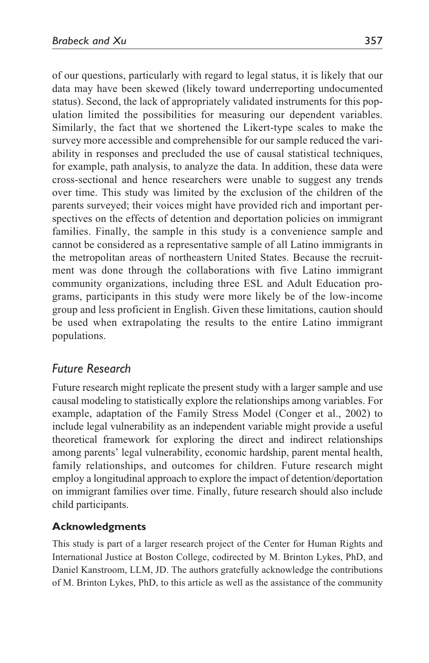of our questions, particularly with regard to legal status, it is likely that our data may have been skewed (likely toward underreporting undocumented status). Second, the lack of appropriately validated instruments for this population limited the possibilities for measuring our dependent variables. Similarly, the fact that we shortened the Likert-type scales to make the survey more accessible and comprehensible for our sample reduced the variability in responses and precluded the use of causal statistical techniques, for example, path analysis, to analyze the data. In addition, these data were cross-sectional and hence researchers were unable to suggest any trends over time. This study was limited by the exclusion of the children of the parents surveyed; their voices might have provided rich and important perspectives on the effects of detention and deportation policies on immigrant families. Finally, the sample in this study is a convenience sample and cannot be considered as a representative sample of all Latino immigrants in the metropolitan areas of northeastern United States. Because the recruitment was done through the collaborations with five Latino immigrant community organizations, including three ESL and Adult Education programs, participants in this study were more likely be of the low-income group and less proficient in English. Given these limitations, caution should be used when extrapolating the results to the entire Latino immigrant populations.

## *Future Research*

Future research might replicate the present study with a larger sample and use causal modeling to statistically explore the relationships among variables. For example, adaptation of the Family Stress Model (Conger et al., 2002) to include legal vulnerability as an independent variable might provide a useful theoretical framework for exploring the direct and indirect relationships among parents' legal vulnerability, economic hardship, parent mental health, family relationships, and outcomes for children. Future research might employ a longitudinal approach to explore the impact of detention/deportation on immigrant families over time. Finally, future research should also include child participants.

### **Acknowledgments**

This study is part of a larger research project of the Center for Human Rights and International Justice at Boston College, codirected by M. Brinton Lykes, PhD, and Daniel Kanstroom, LLM, JD. The authors gratefully acknowledge the contributions of M. Brinton Lykes, PhD, to this article as well as the assistance of the community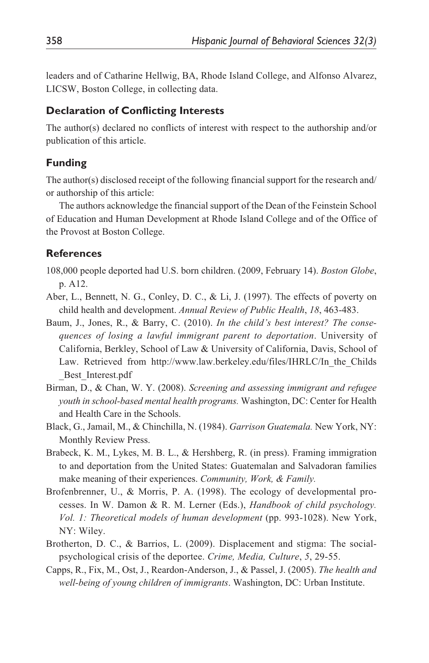leaders and of Catharine Hellwig, BA, Rhode Island College, and Alfonso Alvarez, LICSW, Boston College, in collecting data.

### **Declaration of Conflicting Interests**

The author(s) declared no conflicts of interest with respect to the authorship and/or publication of this article.

### **Funding**

The author(s) disclosed receipt of the following financial support for the research and/ or authorship of this article:

The authors acknowledge the financial support of the Dean of the Feinstein School of Education and Human Development at Rhode Island College and of the Office of the Provost at Boston College.

### **References**

- 108,000 people deported had U.S. born children. (2009, February 14). *Boston Globe*, p. A12.
- Aber, L., Bennett, N. G., Conley, D. C., & Li, J. (1997). The effects of poverty on child health and development. *Annual Review of Public Health*, *18*, 463-483.
- Baum, J., Jones, R., & Barry, C. (2010). *In the child's best interest? The consequences of losing a lawful immigrant parent to deportation*. University of California, Berkley, School of Law & University of California, Davis, School of Law. Retrieved from http://www.law.berkeley.edu/files/IHRLC/In the Childs \_Best\_Interest.pdf
- Birman, D., & Chan, W. Y. (2008). *Screening and assessing immigrant and refugee youth in school-based mental health programs.* Washington, DC: Center for Health and Health Care in the Schools.
- Black, G., Jamail, M., & Chinchilla, N. (1984). *Garrison Guatemala.* New York, NY: Monthly Review Press.
- Brabeck, K. M., Lykes, M. B. L., & Hershberg, R. (in press). Framing immigration to and deportation from the United States: Guatemalan and Salvadoran families make meaning of their experiences. *Community, Work, & Family.*
- Brofenbrenner, U., & Morris, P. A. (1998). The ecology of developmental processes. In W. Damon & R. M. Lerner (Eds.), *Handbook of child psychology. Vol. 1: Theoretical models of human development* (pp. 993-1028). New York, NY: Wiley.
- Brotherton, D. C., & Barrios, L. (2009). Displacement and stigma: The socialpsychological crisis of the deportee. *Crime, Media, Culture*, *5*, 29-55.
- Capps, R., Fix, M., Ost, J., Reardon-Anderson, J., & Passel, J. (2005). *The health and well-being of young children of immigrants*. Washington, DC: Urban Institute.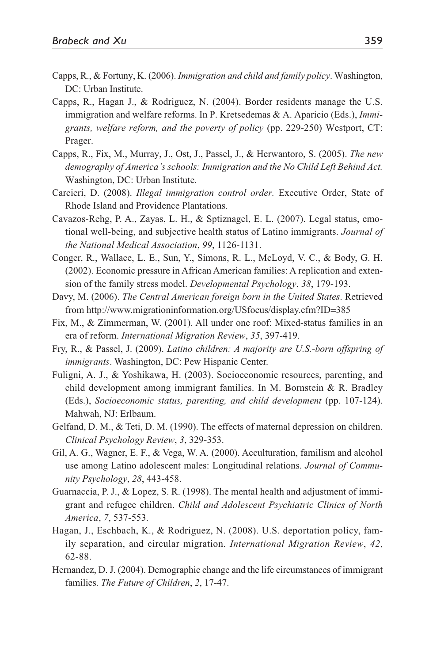- Capps, R., & Fortuny, K. (2006). *Immigration and child and family policy*. Washington, DC: Urban Institute.
- Capps, R., Hagan J., & Rodriguez, N. (2004). Border residents manage the U.S. immigration and welfare reforms. In P. Kretsedemas & A. Aparicio (Eds.), *Immigrants, welfare reform, and the poverty of policy* (pp. 229-250) Westport, CT: Prager.
- Capps, R., Fix, M., Murray, J., Ost, J., Passel, J., & Herwantoro, S. (2005). *The new demography of America's schools: Immigration and the No Child Left Behind Act.* Washington, DC: Urban Institute.
- Carcieri, D. (2008). *Illegal immigration control order.* Executive Order, State of Rhode Island and Providence Plantations.
- Cavazos-Rehg, P. A., Zayas, L. H., & Sptiznagel, E. L. (2007). Legal status, emotional well-being, and subjective health status of Latino immigrants. *Journal of the National Medical Association*, *99*, 1126-1131.
- Conger, R., Wallace, L. E., Sun, Y., Simons, R. L., McLoyd, V. C., & Body, G. H. (2002). Economic pressure in African American families: A replication and extension of the family stress model. *Developmental Psychology*, *38*, 179-193.
- Davy, M. (2006). *The Central American foreign born in the United States*. Retrieved from http://www.migrationinformation.org/USfocus/display.cfm?ID=385
- Fix, M., & Zimmerman, W. (2001). All under one roof: Mixed-status families in an era of reform. *International Migration Review*, *35*, 397-419.
- Fry, R., & Passel, J. (2009). *Latino children: A majority are U.S.-born offspring of immigrants*. Washington, DC: Pew Hispanic Center.
- Fuligni, A. J., & Yoshikawa, H. (2003). Socioeconomic resources, parenting, and child development among immigrant families. In M. Bornstein & R. Bradley (Eds.), *Socioeconomic status, parenting, and child development* (pp. 107-124). Mahwah, NJ: Erlbaum.
- Gelfand, D. M., & Teti, D. M. (1990). The effects of maternal depression on children. *Clinical Psychology Review*, *3*, 329-353.
- Gil, A. G., Wagner, E. F., & Vega, W. A. (2000). Acculturation, familism and alcohol use among Latino adolescent males: Longitudinal relations. *Journal of Community Psychology*, *28*, 443-458.
- Guarnaccia, P. J., & Lopez, S. R. (1998). The mental health and adjustment of immigrant and refugee children. *Child and Adolescent Psychiatric Clinics of North America*, *7*, 537-553.
- Hagan, J., Eschbach, K., & Rodriguez, N. (2008). U.S. deportation policy, family separation, and circular migration. *International Migration Review*, *42*, 62-88.
- Hernandez, D. J. (2004). Demographic change and the life circumstances of immigrant families. *The Future of Children*, *2*, 17-47.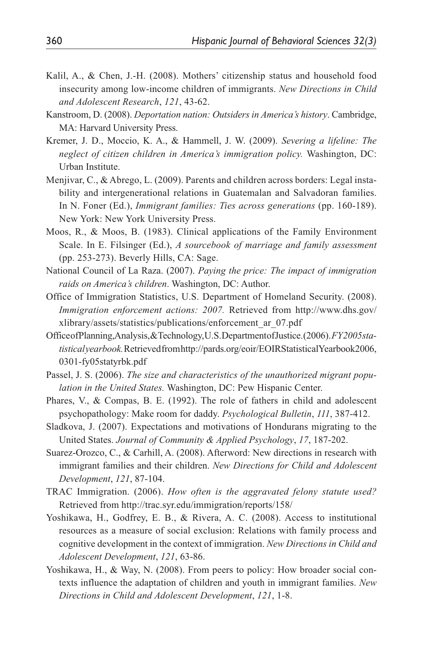- Kalil, A., & Chen, J.-H. (2008). Mothers' citizenship status and household food insecurity among low-income children of immigrants. *New Directions in Child and Adolescent Research*, *121*, 43-62.
- Kanstroom, D. (2008). *Deportation nation: Outsiders in America's history*. Cambridge, MA: Harvard University Press.
- Kremer, J. D., Moccio, K. A., & Hammell, J. W. (2009). *Severing a lifeline: The neglect of citizen children in America's immigration policy.* Washington, DC: Urban Institute.
- Menjivar, C., & Abrego, L. (2009). Parents and children across borders: Legal instability and intergenerational relations in Guatemalan and Salvadoran families. In N. Foner (Ed.), *Immigrant families: Ties across generations* (pp. 160-189). New York: New York University Press.
- Moos, R., & Moos, B. (1983). Clinical applications of the Family Environment Scale. In E. Filsinger (Ed.), *A sourcebook of marriage and family assessment* (pp. 253-273). Beverly Hills, CA: Sage.
- National Council of La Raza. (2007). *Paying the price: The impact of immigration raids on America's children*. Washington, DC: Author.
- Office of Immigration Statistics, U.S. Department of Homeland Security. (2008). *Immigration enforcement actions: 2007.* Retrieved from http://www.dhs.gov/ xlibrary/assets/statistics/publications/enforcement\_ar\_07.pdf
- Office of Planning, Analysis, & Technology, U.S. Department of Justice. (2006). *FY 2005 statistical yearbook.* Retrieved from http://pards.org/eoir/EOIRStatisticalYearbook2006, 0301-fy05statyrbk.pdf
- Passel, J. S. (2006). *The size and characteristics of the unauthorized migrant population in the United States.* Washington, DC: Pew Hispanic Center.
- Phares, V., & Compas, B. E. (1992). The role of fathers in child and adolescent psychopathology: Make room for daddy. *Psychological Bulletin*, *111*, 387-412.
- Sladkova, J. (2007). Expectations and motivations of Hondurans migrating to the United States. *Journal of Community & Applied Psychology*, *17*, 187-202.
- Suarez-Orozco, C., & Carhill, A. (2008). Afterword: New directions in research with immigrant families and their children. *New Directions for Child and Adolescent Development*, *121*, 87-104.
- TRAC Immigration. (2006). *How often is the aggravated felony statute used?* Retrieved from http://trac.syr.edu/immigration/reports/158/
- Yoshikawa, H., Godfrey, E. B., & Rivera, A. C. (2008). Access to institutional resources as a measure of social exclusion: Relations with family process and cognitive development in the context of immigration. *New Directions in Child and Adolescent Development*, *121*, 63-86.
- Yoshikawa, H., & Way, N. (2008). From peers to policy: How broader social contexts influence the adaptation of children and youth in immigrant families. *New Directions in Child and Adolescent Development*, *121*, 1-8.